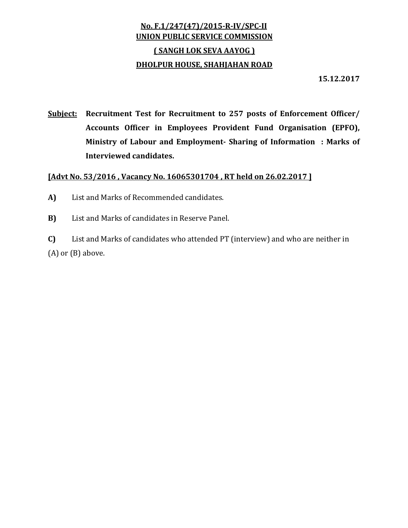## **No. F.1/247(47)/2015‐R‐IV/SPC‐II UNION PUBLIC SERVICE COMMISSION ( SANGH LOK SEVA AAYOG ) DHOLPUR HOUSE, SHAHJAHAN ROAD**

**15.12.2017**

**Subject: Recruitment Test for Recruitment to 257 posts of Enforcement Officer/ Accounts Officer in Employees Provident Fund Organisation (EPFO), Ministry of Labour and Employment‐ Sharing of Information : Marks of Interviewed candidates.**

## **[Advt No. 53/2016 , Vacancy No. 16065301704 , RT held on 26.02.2017 ]**

- A) List and Marks of Recommended candidates.
- **B)** List and Marks of candidates in Reserve Panel.

**C)** List and Marks of candidates who attended PT (interview) and who are neither in  $(A)$  or  $(B)$  above.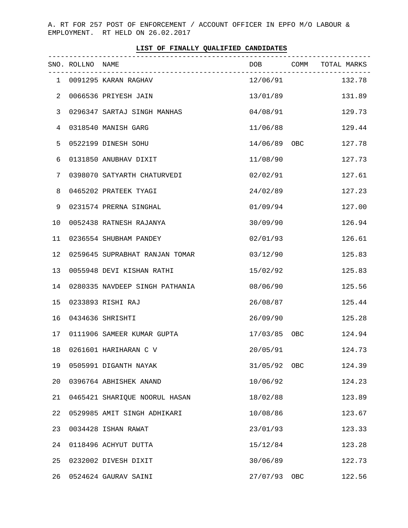A. RT FOR 257 POST OF ENFORCEMENT / ACCOUNT OFFICER IN EPFO M/O LABOUR & EMPLOYMENT. RT HELD ON 26.02.2017

| LIST OF FINALLY QUALIFIED CANDIDATES |  |  |  |  |  |
|--------------------------------------|--|--|--|--|--|
|--------------------------------------|--|--|--|--|--|

|    | SNO. ROLLNO NAME |                                | DOB COMM TOTAL MARKS |     |                 |
|----|------------------|--------------------------------|----------------------|-----|-----------------|
|    |                  | 1 0091295 KARAN RAGHAV         |                      |     | 12/06/91 132.78 |
| 2  |                  | 0066536 PRIYESH JAIN           | 13/01/89             |     | 131.89          |
| 3  |                  | 0296347 SARTAJ SINGH MANHAS    | 04/08/91             |     | 129.73          |
| 4  |                  | 0318540 MANISH GARG            | 11/06/88             |     | 129.44          |
| 5  |                  | 0522199 DINESH SOHU            | 14/06/89 OBC         |     | 127.78          |
| 6  |                  | 0131850 ANUBHAV DIXIT          | 11/08/90             |     | 127.73          |
| 7  |                  | 0398070 SATYARTH CHATURVEDI    | 02/02/91             |     | 127.61          |
| 8  |                  | 0465202 PRATEEK TYAGI          | 24/02/89             |     | 127.23          |
| 9  |                  | 0231574 PRERNA SINGHAL         | 01/09/94             |     | 127.00          |
| 10 |                  | 0052438 RATNESH RAJANYA        | 30/09/90             |     | 126.94          |
| 11 |                  | 0236554 SHUBHAM PANDEY         | 02/01/93             |     | 126.61          |
| 12 |                  | 0259645 SUPRABHAT RANJAN TOMAR | 03/12/90             |     | 125.83          |
| 13 |                  | 0055948 DEVI KISHAN RATHI      | 15/02/92             |     | 125.83          |
| 14 |                  | 0280335 NAVDEEP SINGH PATHANIA | 08/06/90             |     | 125.56          |
| 15 |                  | 0233893 RISHI RAJ              | 26/08/87             |     | 125.44          |
| 16 |                  | 0434636 SHRISHTI               | 26/09/90             |     | 125.28          |
| 17 |                  | 0111906 SAMEER KUMAR GUPTA     | 17/03/85 OBC         |     | 124.94          |
| 18 |                  | 0261601 HARIHARAN C V          | 20/05/91             |     | 124.73          |
| 19 |                  | 0505991 DIGANTH NAYAK          | 31/05/92 OBC         |     | 124.39          |
| 20 |                  | 0396764 ABHISHEK ANAND         | 10/06/92             |     | 124.23          |
| 21 |                  | 0465421 SHARIQUE NOORUL HASAN  | 18/02/88             |     | 123.89          |
| 22 |                  | 0529985 AMIT SINGH ADHIKARI    | 10/08/86             |     | 123.67          |
| 23 |                  | 0034428 ISHAN RAWAT            | 23/01/93             |     | 123.33          |
| 24 |                  | 0118496 ACHYUT DUTTA           | 15/12/84             |     | 123.28          |
| 25 |                  | 0232002 DIVESH DIXIT           | 30/06/89             |     | 122.73          |
| 26 |                  | 0524624 GAURAV SAINI           | 27/07/93             | OBC | 122.56          |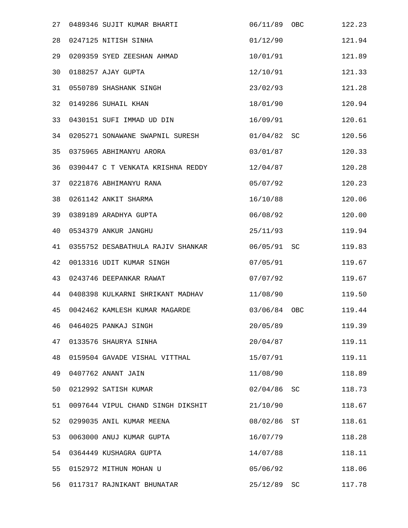| 27 | 0489346 SUJIT KUMAR BHARTI        | 06/11/89 OBC |     | 122.23 |
|----|-----------------------------------|--------------|-----|--------|
| 28 | 0247125 NITISH SINHA              | 01/12/90     |     | 121.94 |
| 29 | 0209359 SYED ZEESHAN AHMAD        | 10/01/91     |     | 121.89 |
| 30 | 0188257 AJAY GUPTA                | 12/10/91     |     | 121.33 |
| 31 | 0550789 SHASHANK SINGH            | 23/02/93     |     | 121.28 |
| 32 | 0149286 SUHAIL KHAN               | 18/01/90     |     | 120.94 |
| 33 | 0430151 SUFI IMMAD UD DIN         | 16/09/91     |     | 120.61 |
| 34 | 0205271 SONAWANE SWAPNIL SURESH   | 01/04/82     | SC  | 120.56 |
| 35 | 0375965 ABHIMANYU ARORA           | 03/01/87     |     | 120.33 |
| 36 | 0390447 C T VENKATA KRISHNA REDDY | 12/04/87     |     | 120.28 |
| 37 | 0221876 ABHIMANYU RANA            | 05/07/92     |     | 120.23 |
| 38 | 0261142 ANKIT SHARMA              | 16/10/88     |     | 120.06 |
| 39 | 0389189 ARADHYA GUPTA             | 06/08/92     |     | 120.00 |
| 40 | 0534379 ANKUR JANGHU              | 25/11/93     |     | 119.94 |
| 41 | 0355752 DESABATHULA RAJIV SHANKAR | 06/05/91     | SC  | 119.83 |
| 42 | 0013316 UDIT KUMAR SINGH          | 07/05/91     |     | 119.67 |
| 43 | 0243746 DEEPANKAR RAWAT           | 07/07/92     |     | 119.67 |
| 44 | 0408398 KULKARNI SHRIKANT MADHAV  | 11/08/90     |     | 119.50 |
| 45 | 0042462 KAMLESH KUMAR MAGARDE     | 03/06/84     | OBC | 119.44 |
| 46 | 0464025 PANKAJ SINGH              | 20/05/89     |     | 119.39 |
| 47 | 0133576 SHAURYA SINHA             | 20/04/87     |     | 119.11 |
| 48 | 0159504 GAVADE VISHAL VITTHAL     | 15/07/91     |     | 119.11 |
| 49 | 0407762 ANANT JAIN                | 11/08/90     |     | 118.89 |
| 50 | 0212992 SATISH KUMAR              | 02/04/86     | SC  | 118.73 |
| 51 | 0097644 VIPUL CHAND SINGH DIKSHIT | 21/10/90     |     | 118.67 |
| 52 | 0299035 ANIL KUMAR MEENA          | 08/02/86     | ST  | 118.61 |
| 53 | 0063000 ANUJ KUMAR GUPTA          | 16/07/79     |     | 118.28 |
| 54 | 0364449 KUSHAGRA GUPTA            | 14/07/88     |     | 118.11 |
| 55 | 0152972 MITHUN MOHAN U            | 05/06/92     |     | 118.06 |
| 56 | 0117317 RAJNIKANT BHUNATAR        | 25/12/89 SC  |     | 117.78 |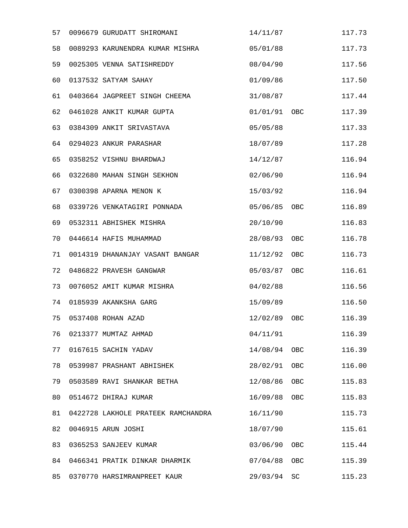| 57 | 0096679 GURUDATT SHIROMANI         | 14/11/87     |            | 117.73 |
|----|------------------------------------|--------------|------------|--------|
| 58 | 0089293 KARUNENDRA KUMAR MISHRA    | 05/01/88     |            | 117.73 |
| 59 | 0025305 VENNA SATISHREDDY          | 08/04/90     |            | 117.56 |
| 60 | 0137532 SATYAM SAHAY               | 01/09/86     |            | 117.50 |
| 61 | 0403664 JAGPREET SINGH CHEEMA      | 31/08/87     |            | 117.44 |
| 62 | 0461028 ANKIT KUMAR GUPTA          | 01/01/91 OBC |            | 117.39 |
| 63 | 0384309 ANKIT SRIVASTAVA           | 05/05/88     |            | 117.33 |
| 64 | 0294023 ANKUR PARASHAR             | 18/07/89     |            | 117.28 |
| 65 | 0358252 VISHNU BHARDWAJ            | 14/12/87     |            | 116.94 |
| 66 | 0322680 MAHAN SINGH SEKHON         | 02/06/90     |            | 116.94 |
| 67 | 0300398 APARNA MENON K             | 15/03/92     |            | 116.94 |
| 68 | 0339726 VENKATAGIRI PONNADA        | 05/06/85     | OBC        | 116.89 |
| 69 | 0532311 ABHISHEK MISHRA            | 20/10/90     |            | 116.83 |
| 70 | 0446614 HAFIS MUHAMMAD             | 28/08/93     | OBC        | 116.78 |
| 71 | 0014319 DHANANJAY VASANT BANGAR    | 11/12/92     | OBC        | 116.73 |
| 72 | 0486822 PRAVESH GANGWAR            | 05/03/87     | OBC        | 116.61 |
| 73 | 0076052 AMIT KUMAR MISHRA          | 04/02/88     |            | 116.56 |
| 74 | 0185939 AKANKSHA GARG              | 15/09/89     |            | 116.50 |
| 75 | 0537408 ROHAN AZAD                 | 12/02/89     | <b>OBC</b> | 116.39 |
| 76 | 0213377 MUMTAZ AHMAD               | 04/11/91     |            | 116.39 |
| 77 | 0167615 SACHIN YADAV               | 14/08/94     | OBC        | 116.39 |
| 78 | 0539987 PRASHANT ABHISHEK          | 28/02/91     | OBC        | 116.00 |
| 79 | 0503589 RAVI SHANKAR BETHA         | 12/08/86     | OBC        | 115.83 |
| 80 | 0514672 DHIRAJ KUMAR               | 16/09/88     | OBC        | 115.83 |
| 81 | 0422728 LAKHOLE PRATEEK RAMCHANDRA | 16/11/90     |            | 115.73 |
| 82 | 0046915 ARUN JOSHI                 | 18/07/90     |            | 115.61 |
| 83 | 0365253 SANJEEV KUMAR              | 03/06/90     | OBC        | 115.44 |
| 84 | 0466341 PRATIK DINKAR DHARMIK      | 07/04/88     | OBC        | 115.39 |
| 85 | 0370770 HARSIMRANPREET KAUR        | 29/03/94     | SC         | 115.23 |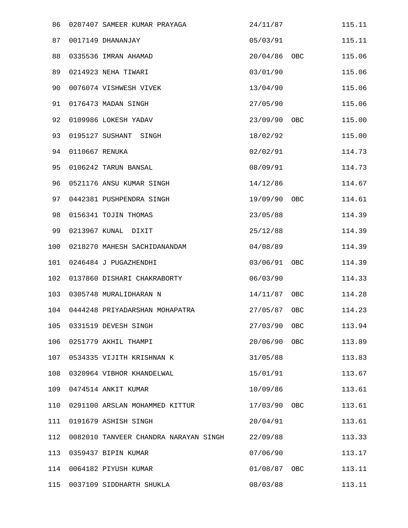| 86  |                | 0207407 SAMEER KUMAR PRAYAGA          | 24/11/87     |              | 115.11 |
|-----|----------------|---------------------------------------|--------------|--------------|--------|
| 87  |                | 0017149 DHANANJAY                     | 05/03/91     |              | 115.11 |
| 88  |                | 0335536 IMRAN AHAMAD                  | 20/04/86     | OBC          | 115.06 |
| 89  |                | 0214923 NEHA TIWARI                   | 03/01/90     |              | 115.06 |
| 90  |                | 0076074 VISHWESH VIVEK                | 13/04/90     |              | 115.06 |
| 91  |                | 0176473 MADAN SINGH                   | 27/05/90     |              | 115.06 |
| 92  |                | 0109986 LOKESH YADAV                  | 23/09/90     | OBC          | 115.00 |
| 93  |                | 0195127 SUSHANT SINGH                 | 18/02/92     |              | 115.00 |
| 94  | 0110667 RENUKA |                                       | 02/02/91     |              | 114.73 |
| 95  |                | 0106242 TARUN BANSAL                  | 08/09/91     |              | 114.73 |
| 96  |                | 0521176 ANSU KUMAR SINGH              | 14/12/86     |              | 114.67 |
| 97  |                | 0442381 PUSHPENDRA SINGH              | 19/09/90     | OBC          | 114.61 |
| 98  |                | 0156341 TOJIN THOMAS                  | 23/05/88     |              | 114.39 |
| 99  |                | 0213967 KUNAL DIXIT                   | 25/12/88     |              | 114.39 |
| 100 |                | 0218270 MAHESH SACHIDANANDAM          | 04/08/89     |              | 114.39 |
| 101 |                | 0246484 J PUGAZHENDHI                 | 03/06/91     | OBC          | 114.39 |
| 102 |                | 0137860 DISHARI CHAKRABORTY           | 06/03/90     |              | 114.33 |
| 103 |                | 0305748 MURALIDHARAN N                | 14/11/87     | OBC          | 114.28 |
| 104 |                | 0444248 PRIYADARSHAN MOHAPATRA        | 27/05/87     | OBC          | 114.23 |
| 105 |                | 0331519 DEVESH SINGH                  | 27/03/90 OBC |              | 113.94 |
| 106 |                | 0251779 AKHIL THAMPI                  | 20/06/90     | OBC          | 113.89 |
| 107 |                | 0534335 VIJITH KRISHNAN K             | 31/05/88     |              | 113.83 |
| 108 |                | 0320964 VIBHOR KHANDELWAL             | 15/01/91     |              | 113.67 |
| 109 |                | 0474514 ANKIT KUMAR                   | 10/09/86     |              | 113.61 |
| 110 |                | 0291100 ARSLAN MOHAMMED KITTUR        | 17/03/90     | OBC          | 113.61 |
| 111 |                | 0191679 ASHISH SINGH                  | 20/04/91     |              | 113.61 |
| 112 |                | 0082010 TANVEER CHANDRA NARAYAN SINGH | 22/09/88     |              | 113.33 |
| 113 |                | 0359437 BIPIN KUMAR                   | 07/06/90     |              | 113.17 |
| 114 |                | 0064182 PIYUSH KUMAR                  |              | 01/08/87 OBC | 113.11 |
| 115 |                | 0037109 SIDDHARTH SHUKLA              | 08/03/88     |              | 113.11 |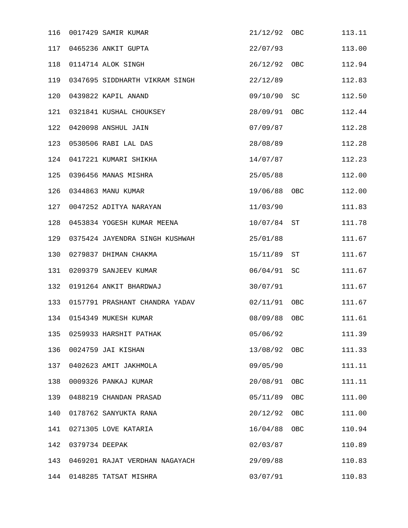| 116 |                | 0017429 SAMIR KUMAR            | 21/12/92 | OBC | 113.11 |
|-----|----------------|--------------------------------|----------|-----|--------|
| 117 |                | 0465236 ANKIT GUPTA            | 22/07/93 |     | 113.00 |
| 118 |                | 0114714 ALOK SINGH             | 26/12/92 | OBC | 112.94 |
| 119 |                | 0347695 SIDDHARTH VIKRAM SINGH | 22/12/89 |     | 112.83 |
| 120 |                | 0439822 KAPIL ANAND            | 09/10/90 | SC  | 112.50 |
| 121 |                | 0321841 KUSHAL CHOUKSEY        | 28/09/91 | OBC | 112.44 |
| 122 |                | 0420098 ANSHUL JAIN            | 07/09/87 |     | 112.28 |
| 123 |                | 0530506 RABI LAL DAS           | 28/08/89 |     | 112.28 |
| 124 |                | 0417221 KUMARI SHIKHA          | 14/07/87 |     | 112.23 |
| 125 |                | 0396456 MANAS MISHRA           | 25/05/88 |     | 112.00 |
| 126 |                | 0344863 MANU KUMAR             | 19/06/88 | OBC | 112.00 |
| 127 |                | 0047252 ADITYA NARAYAN         | 11/03/90 |     | 111.83 |
| 128 |                | 0453834 YOGESH KUMAR MEENA     | 10/07/84 | ST  | 111.78 |
| 129 |                | 0375424 JAYENDRA SINGH KUSHWAH | 25/01/88 |     | 111.67 |
| 130 |                | 0279837 DHIMAN CHAKMA          | 15/11/89 | ST  | 111.67 |
| 131 |                | 0209379 SANJEEV KUMAR          | 06/04/91 | SC  | 111.67 |
| 132 |                | 0191264 ANKIT BHARDWAJ         | 30/07/91 |     | 111.67 |
| 133 |                | 0157791 PRASHANT CHANDRA YADAV | 02/11/91 | OBC | 111.67 |
| 134 |                | 0154349 MUKESH KUMAR           | 08/09/88 | OBC | 111.61 |
| 135 |                | 0259933 HARSHIT PATHAK         | 05/06/92 |     | 111.39 |
| 136 |                | 0024759 JAI KISHAN             | 13/08/92 | OBC | 111.33 |
| 137 |                | 0402623 AMIT JAKHMOLA          | 09/05/90 |     | 111.11 |
| 138 |                | 0009326 PANKAJ KUMAR           | 20/08/91 | OBC | 111.11 |
| 139 |                | 0488219 CHANDAN PRASAD         | 05/11/89 | OBC | 111.00 |
| 140 |                | 0178762 SANYUKTA RANA          | 20/12/92 | OBC | 111.00 |
| 141 |                | 0271305 LOVE KATARIA           | 16/04/88 | OBC | 110.94 |
| 142 | 0379734 DEEPAK |                                | 02/03/87 |     | 110.89 |
| 143 |                | 0469201 RAJAT VERDHAN NAGAYACH | 29/09/88 |     | 110.83 |
| 144 |                | 0148285 TATSAT MISHRA          | 03/07/91 |     | 110.83 |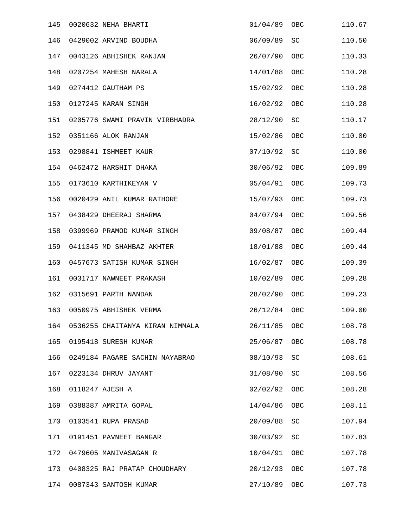| 145 | 0020632 NEHA BHARTI             | 01/04/89 | OBC                 | 110.67 |
|-----|---------------------------------|----------|---------------------|--------|
| 146 | 0429002 ARVIND BOUDHA           | 06/09/89 | SC                  | 110.50 |
| 147 | 0043126 ABHISHEK RANJAN         | 26/07/90 | OBC                 | 110.33 |
| 148 | 0207254 MAHESH NARALA           | 14/01/88 | OBC                 | 110.28 |
| 149 | 0274412 GAUTHAM PS              | 15/02/92 | OBC                 | 110.28 |
| 150 | 0127245 KARAN SINGH             | 16/02/92 | OBC                 | 110.28 |
| 151 | 0205776 SWAMI PRAVIN VIRBHADRA  | 28/12/90 | SC                  | 110.17 |
| 152 | 0351166 ALOK RANJAN             | 15/02/86 | OBC                 | 110.00 |
| 153 | 0298841 ISHMEET KAUR            | 07/10/92 | <b>SC</b>           | 110.00 |
| 154 | 0462472 HARSHIT DHAKA           | 30/06/92 | OBC                 | 109.89 |
| 155 | 0173610 KARTHIKEYAN V           | 05/04/91 | OBC                 | 109.73 |
| 156 | 0020429 ANIL KUMAR RATHORE      | 15/07/93 | OBC                 | 109.73 |
| 157 | 0438429 DHEERAJ SHARMA          | 04/07/94 | OBC                 | 109.56 |
| 158 | 0399969 PRAMOD KUMAR SINGH      | 09/08/87 | OBC                 | 109.44 |
| 159 | 0411345 MD SHAHBAZ AKHTER       | 18/01/88 | OBC                 | 109.44 |
| 160 | 0457673 SATISH KUMAR SINGH      | 16/02/87 | OBC                 | 109.39 |
| 161 | 0031717 NAWNEET PRAKASH         | 10/02/89 | OBC                 | 109.28 |
| 162 | 0315691 PARTH NANDAN            | 28/02/90 | OBC                 | 109.23 |
| 163 | 0050975 ABHISHEK VERMA          | 26/12/84 | OBC                 | 109.00 |
| 164 | 0536255 CHAITANYA KIRAN NIMMALA | 26/11/85 | OBC                 | 108.78 |
| 165 | 0195418 SURESH KUMAR            | 25/06/87 | OBC                 | 108.78 |
| 166 | 0249184 PAGARE SACHIN NAYABRAO  | 08/10/93 | SC                  | 108.61 |
| 167 | 0223134 DHRUV JAYANT            | 31/08/90 | SC                  | 108.56 |
| 168 | 0118247 AJESH A                 | 02/02/92 | OBC                 | 108.28 |
| 169 | 0388387 AMRITA GOPAL            | 14/04/86 | OBC                 | 108.11 |
| 170 | 0103541 RUPA PRASAD             | 20/09/88 | SC                  | 107.94 |
| 171 | 0191451 PAVNEET BANGAR          | 30/03/92 | $\operatorname{SC}$ | 107.83 |
| 172 | 0479605 MANIVASAGAN R           | 10/04/91 | OBC                 | 107.78 |
| 173 | 0408325 RAJ PRATAP CHOUDHARY    | 20/12/93 | OBC                 | 107.78 |
| 174 | 0087343 SANTOSH KUMAR           | 27/10/89 | OBC                 | 107.73 |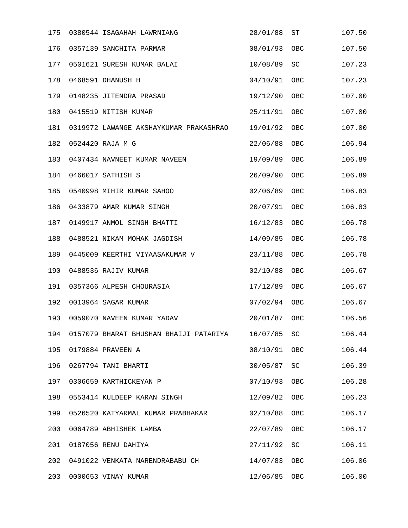| 175 | 0380544 ISAGAHAH LAWRNIANG             | 28/01/88 | ST  | 107.50 |
|-----|----------------------------------------|----------|-----|--------|
| 176 | 0357139 SANCHITA PARMAR                | 08/01/93 | OBC | 107.50 |
| 177 | 0501621 SURESH KUMAR BALAI             | 10/08/89 | SC  | 107.23 |
| 178 | 0468591 DHANUSH H                      | 04/10/91 | OBC | 107.23 |
| 179 | 0148235 JITENDRA PRASAD                | 19/12/90 | OBC | 107.00 |
| 180 | 0415519 NITISH KUMAR                   | 25/11/91 | OBC | 107.00 |
| 181 | 0319972 LAWANGE AKSHAYKUMAR PRAKASHRAO | 19/01/92 | OBC | 107.00 |
| 182 | 0524420 RAJA M G                       | 22/06/88 | OBC | 106.94 |
| 183 | 0407434 NAVNEET KUMAR NAVEEN           | 19/09/89 | OBC | 106.89 |
| 184 | 0466017 SATHISH S                      | 26/09/90 | OBC | 106.89 |
| 185 | 0540998 MIHIR KUMAR SAHOO              | 02/06/89 | OBC | 106.83 |
| 186 | 0433879 AMAR KUMAR SINGH               | 20/07/91 | OBC | 106.83 |
| 187 | 0149917 ANMOL SINGH BHATTI             | 16/12/83 | OBC | 106.78 |
| 188 | 0488521 NIKAM MOHAK JAGDISH            | 14/09/85 | OBC | 106.78 |
| 189 | 0445009 KEERTHI VIYAASAKUMAR V         | 23/11/88 | OBC | 106.78 |
| 190 | 0488536 RAJIV KUMAR                    | 02/10/88 | OBC | 106.67 |
| 191 | 0357366 ALPESH CHOURASIA               | 17/12/89 | OBC | 106.67 |
| 192 | 0013964 SAGAR KUMAR                    | 07/02/94 | OBC | 106.67 |
| 193 | 0059070 NAVEEN KUMAR YADAV             | 20/01/87 | OBC | 106.56 |
| 194 | 0157079 BHARAT BHUSHAN BHAIJI PATARIYA | 16/07/85 | SC  | 106.44 |
| 195 | 0179884 PRAVEEN A                      | 08/10/91 | OBC | 106.44 |
| 196 | 0267794 TANI BHARTI                    | 30/05/87 | SC  | 106.39 |
| 197 | 0306659 KARTHICKEYAN P                 | 07/10/93 | OBC | 106.28 |
| 198 | 0553414 KULDEEP KARAN SINGH            | 12/09/82 | OBC | 106.23 |
| 199 | 0526520 KATYARMAL KUMAR PRABHAKAR      | 02/10/88 | OBC | 106.17 |
| 200 | 0064789 ABHISHEK LAMBA                 | 22/07/89 | OBC | 106.17 |
| 201 | 0187056 RENU DAHIYA                    | 27/11/92 | SC  | 106.11 |
| 202 | 0491022 VENKATA NARENDRABABU CH        | 14/07/83 | OBC | 106.06 |
| 203 | 0000653 VINAY KUMAR                    | 12/06/85 | OBC | 106.00 |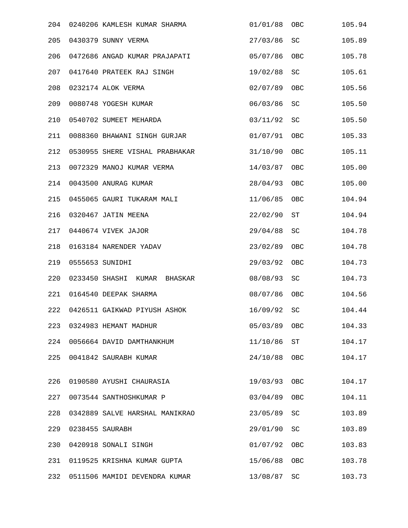| 204 |                | 0240206 KAMLESH KUMAR SHARMA   | 01/01/88 | OBC       | 105.94 |
|-----|----------------|--------------------------------|----------|-----------|--------|
| 205 |                | 0430379 SUNNY VERMA            | 27/03/86 | SC        | 105.89 |
| 206 |                | 0472686 ANGAD KUMAR PRAJAPATI  | 05/07/86 | OBC       | 105.78 |
| 207 |                | 0417640 PRATEEK RAJ SINGH      | 19/02/88 | SC        | 105.61 |
| 208 |                | 0232174 ALOK VERMA             | 02/07/89 | OBC       | 105.56 |
| 209 |                | 0080748 YOGESH KUMAR           | 06/03/86 | <b>SC</b> | 105.50 |
| 210 |                | 0540702 SUMEET MEHARDA         | 03/11/92 | <b>SC</b> | 105.50 |
| 211 |                | 0088360 BHAWANI SINGH GURJAR   | 01/07/91 | OBC       | 105.33 |
| 212 |                | 0530955 SHERE VISHAL PRABHAKAR | 31/10/90 | OBC       | 105.11 |
| 213 |                | 0072329 MANOJ KUMAR VERMA      | 14/03/87 | OBC       | 105.00 |
| 214 |                | 0043500 ANURAG KUMAR           | 28/04/93 | OBC       | 105.00 |
| 215 |                | 0455065 GAURI TUKARAM MALI     | 11/06/85 | OBC       | 104.94 |
| 216 |                | 0320467 JATIN MEENA            | 22/02/90 | ST        | 104.94 |
| 217 |                | 0440674 VIVEK JAJOR            | 29/04/88 | SC        | 104.78 |
| 218 |                | 0163184 NARENDER YADAV         | 23/02/89 | OBC       | 104.78 |
| 219 |                | 0555653 SUNIDHI                | 29/03/92 | OBC       | 104.73 |
| 220 | 0233450 SHASHI | KUMAR<br>BHASKAR               | 08/08/93 | SC        | 104.73 |
| 221 |                | 0164540 DEEPAK SHARMA          | 08/07/86 | OBC       | 104.56 |
| 222 |                | 0426511 GAIKWAD PIYUSH ASHOK   | 16/09/92 | SC        | 104.44 |
| 223 |                | 0324983 HEMANT MADHUR          | 05/03/89 | OBC       | 104.33 |
| 224 |                | 0056664 DAVID DAMTHANKHUM      | 11/10/86 | ST        | 104.17 |
| 225 |                | 0041842 SAURABH KUMAR          | 24/10/88 | OBC       | 104.17 |
| 226 |                | 0190580 AYUSHI CHAURASIA       | 19/03/93 | OBC       | 104.17 |
| 227 |                | 0073544 SANTHOSHKUMAR P        | 03/04/89 | OBC       | 104.11 |
| 228 |                | 0342889 SALVE HARSHAL MANIKRAO | 23/05/89 | SC        | 103.89 |
| 229 |                | 0238455 SAURABH                | 29/01/90 | SC        | 103.89 |
| 230 |                | 0420918 SONALI SINGH           | 01/07/92 | OBC       | 103.83 |
| 231 |                | 0119525 KRISHNA KUMAR GUPTA    | 15/06/88 | OBC       | 103.78 |
| 232 |                | 0511506 MAMIDI DEVENDRA KUMAR  | 13/08/87 | SC        | 103.73 |
|     |                |                                |          |           |        |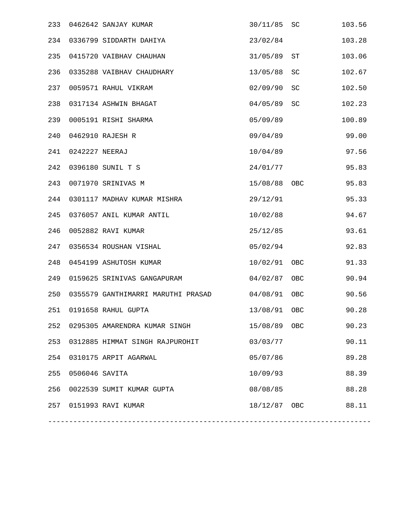| 233 |                | 0462642 SANJAY KUMAR               | 30/11/85     | SC  | 103.56 |
|-----|----------------|------------------------------------|--------------|-----|--------|
| 234 |                | 0336799 SIDDARTH DAHIYA            | 23/02/84     |     | 103.28 |
| 235 |                | 0415720 VAIBHAV CHAUHAN            | 31/05/89     | ST  | 103.06 |
| 236 |                | 0335288 VAIBHAV CHAUDHARY          | 13/05/88     | SC  | 102.67 |
| 237 |                | 0059571 RAHUL VIKRAM               | 02/09/90     | SC  | 102.50 |
| 238 |                | 0317134 ASHWIN BHAGAT              | 04/05/89     | SC  | 102.23 |
| 239 |                | 0005191 RISHI SHARMA               | 05/09/89     |     | 100.89 |
| 240 |                | 0462910 RAJESH R                   | 09/04/89     |     | 99.00  |
| 241 | 0242227 NEERAJ |                                    | 10/04/89     |     | 97.56  |
| 242 |                | 0396180 SUNIL T S                  | 24/01/77     |     | 95.83  |
| 243 |                | 0071970 SRINIVAS M                 | 15/08/88 OBC |     | 95.83  |
| 244 |                | 0301117 MADHAV KUMAR MISHRA        | 29/12/91     |     | 95.33  |
| 245 |                | 0376057 ANIL KUMAR ANTIL           | 10/02/88     |     | 94.67  |
| 246 |                | 0052882 RAVI KUMAR                 | 25/12/85     |     | 93.61  |
| 247 |                | 0356534 ROUSHAN VISHAL             | 05/02/94     |     | 92.83  |
| 248 |                | 0454199 ASHUTOSH KUMAR             | 10/02/91     | OBC | 91.33  |
| 249 |                | 0159625 SRINIVAS GANGAPURAM        | 04/02/87     | OBC | 90.94  |
| 250 |                | 0355579 GANTHIMARRI MARUTHI PRASAD | 04/08/91     | OBC | 90.56  |
| 251 |                | 0191658 RAHUL GUPTA                | 13/08/91     | OBC | 90.28  |
| 252 |                | 0295305 AMARENDRA KUMAR SINGH      | 15/08/89 OBC |     | 90.23  |
| 253 |                | 0312885 HIMMAT SINGH RAJPUROHIT    | 03/03/77     |     | 90.11  |
| 254 |                | 0310175 ARPIT AGARWAL              | 05/07/86     |     | 89.28  |
| 255 | 0506046 SAVITA |                                    | 10/09/93     |     | 88.39  |
| 256 |                | 0022539 SUMIT KUMAR GUPTA          | 08/08/85     |     | 88.28  |
| 257 |                | 0151993 RAVI KUMAR                 | 18/12/87 OBC |     | 88.11  |
|     |                |                                    |              |     |        |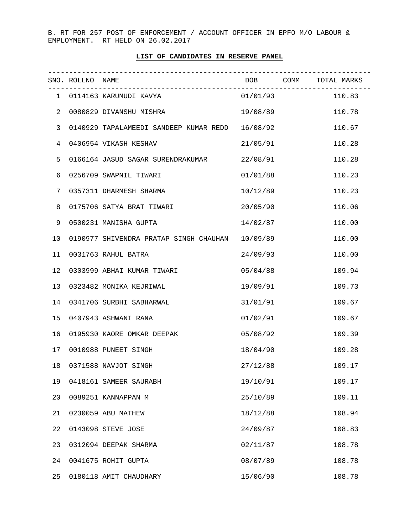B. RT FOR 257 POST OF ENFORCEMENT / ACCOUNT OFFICER IN EPFO M/O LABOUR & EMPLOYMENT. RT HELD ON 26.02.2017

## **LIST OF CANDIDATES IN RESERVE PANEL**

|                | SNO. ROLLNO NAME |                                        |          | DOB COMM TOTAL MARKS |
|----------------|------------------|----------------------------------------|----------|----------------------|
|                |                  |                                        |          | 110.83               |
| 2              |                  | 0080829 DIVANSHU MISHRA                | 19/08/89 | 110.78               |
| 3              |                  | 0140929 TAPALAMEEDI SANDEEP KUMAR REDD | 16/08/92 | 110.67               |
| $\overline{4}$ |                  | 0406954 VIKASH KESHAV                  | 21/05/91 | 110.28               |
| 5              |                  | 0166164 JASUD SAGAR SURENDRAKUMAR      | 22/08/91 | 110.28               |
| 6              |                  | 0256709 SWAPNIL TIWARI                 | 01/01/88 | 110.23               |
| 7              |                  | 0357311 DHARMESH SHARMA                | 10/12/89 | 110.23               |
| 8              |                  | 0175706 SATYA BRAT TIWARI              | 20/05/90 | 110.06               |
| 9              |                  | 0500231 MANISHA GUPTA                  | 14/02/87 | 110.00               |
| 10             |                  | 0190977 SHIVENDRA PRATAP SINGH CHAUHAN | 10/09/89 | 110.00               |
| 11             |                  | 0031763 RAHUL BATRA                    | 24/09/93 | 110.00               |
| 12             |                  | 0303999 ABHAI KUMAR TIWARI             | 05/04/88 | 109.94               |
| 13             |                  | 0323482 MONIKA KEJRIWAL                | 19/09/91 | 109.73               |
| 14             |                  | 0341706 SURBHI SABHARWAL               | 31/01/91 | 109.67               |
| 15             |                  | 0407943 ASHWANI RANA                   | 01/02/91 | 109.67               |
| 16             |                  | 0195930 KAORE OMKAR DEEPAK             | 05/08/92 | 109.39               |
| 17             |                  | 0010988 PUNEET SINGH                   | 18/04/90 | 109.28               |
| 18             |                  | 0371588 NAVJOT SINGH                   | 27/12/88 | 109.17               |
| 19             |                  | 0418161 SAMEER SAURABH                 | 19/10/91 | 109.17               |
| 20             |                  | 0089251 KANNAPPAN M                    | 25/10/89 | 109.11               |
| 21             |                  | 0230059 ABU MATHEW                     | 18/12/88 | 108.94               |
| 22             |                  | 0143098 STEVE JOSE                     | 24/09/87 | 108.83               |
| 23             |                  | 0312094 DEEPAK SHARMA                  | 02/11/87 | 108.78               |
| 24             |                  | 0041675 ROHIT GUPTA                    | 08/07/89 | 108.78               |
| 25             |                  | 0180118 AMIT CHAUDHARY                 | 15/06/90 | 108.78               |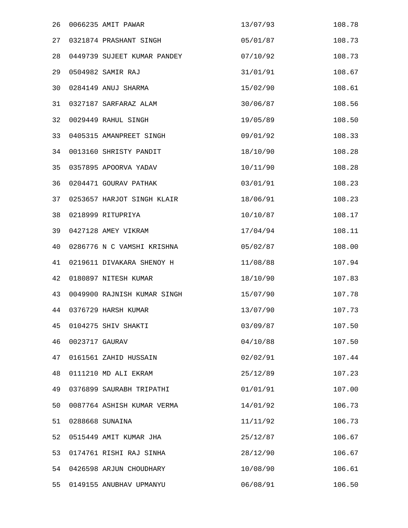| 26 |                | 0066235 AMIT PAWAR          | 13/07/93 | 108.78 |
|----|----------------|-----------------------------|----------|--------|
| 27 |                | 0321874 PRASHANT SINGH      | 05/01/87 | 108.73 |
| 28 |                | 0449739 SUJEET KUMAR PANDEY | 07/10/92 | 108.73 |
| 29 |                | 0504982 SAMIR RAJ           | 31/01/91 | 108.67 |
| 30 |                | 0284149 ANUJ SHARMA         | 15/02/90 | 108.61 |
| 31 |                | 0327187 SARFARAZ ALAM       | 30/06/87 | 108.56 |
| 32 |                | 0029449 RAHUL SINGH         | 19/05/89 | 108.50 |
| 33 |                | 0405315 AMANPREET SINGH     | 09/01/92 | 108.33 |
| 34 |                | 0013160 SHRISTY PANDIT      | 18/10/90 | 108.28 |
| 35 |                | 0357895 APOORVA YADAV       | 10/11/90 | 108.28 |
| 36 |                | 0204471 GOURAV PATHAK       | 03/01/91 | 108.23 |
| 37 |                | 0253657 HARJOT SINGH KLAIR  | 18/06/91 | 108.23 |
| 38 |                | 0218999 RITUPRIYA           | 10/10/87 | 108.17 |
| 39 |                | 0427128 AMEY VIKRAM         | 17/04/94 | 108.11 |
| 40 |                | 0286776 N C VAMSHI KRISHNA  | 05/02/87 | 108.00 |
| 41 |                | 0219611 DIVAKARA SHENOY H   | 11/08/88 | 107.94 |
| 42 |                | 0180897 NITESH KUMAR        | 18/10/90 | 107.83 |
| 43 |                | 0049900 RAJNISH KUMAR SINGH | 15/07/90 | 107.78 |
| 44 |                | 0376729 HARSH KUMAR         | 13/07/90 | 107.73 |
| 45 |                | 0104275 SHIV SHAKTI         | 03/09/87 | 107.50 |
| 46 | 0023717 GAURAV |                             | 04/10/88 | 107.50 |
| 47 |                | 0161561 ZAHID HUSSAIN       | 02/02/91 | 107.44 |
| 48 |                | 0111210 MD ALI EKRAM        | 25/12/89 | 107.23 |
| 49 |                | 0376899 SAURABH TRIPATHI    | 01/01/91 | 107.00 |
| 50 |                | 0087764 ASHISH KUMAR VERMA  | 14/01/92 | 106.73 |
| 51 |                | 0288668 SUNAINA             | 11/11/92 | 106.73 |
| 52 |                | 0515449 AMIT KUMAR JHA      | 25/12/87 | 106.67 |
| 53 |                | 0174761 RISHI RAJ SINHA     | 28/12/90 | 106.67 |
| 54 |                | 0426598 ARJUN CHOUDHARY     | 10/08/90 | 106.61 |
| 55 |                | 0149155 ANUBHAV UPMANYU     | 06/08/91 | 106.50 |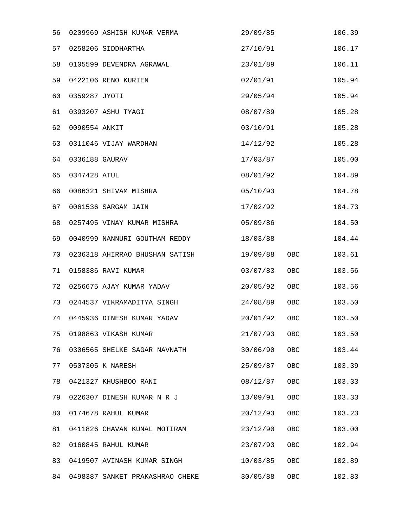| 56 |                | 0209969 ASHISH KUMAR VERMA      | 29/09/85 |            | 106.39 |
|----|----------------|---------------------------------|----------|------------|--------|
| 57 |                | 0258206 SIDDHARTHA              | 27/10/91 |            | 106.17 |
| 58 |                | 0105599 DEVENDRA AGRAWAL        | 23/01/89 |            | 106.11 |
| 59 |                | 0422106 RENO KURIEN             | 02/01/91 |            | 105.94 |
| 60 | 0359287 JYOTI  |                                 | 29/05/94 |            | 105.94 |
| 61 |                | 0393207 ASHU TYAGI              | 08/07/89 |            | 105.28 |
| 62 | 0090554 ANKIT  |                                 | 03/10/91 |            | 105.28 |
| 63 |                | 0311046 VIJAY WARDHAN           | 14/12/92 |            | 105.28 |
| 64 | 0336188 GAURAV |                                 | 17/03/87 |            | 105.00 |
| 65 | 0347428 ATUL   |                                 | 08/01/92 |            | 104.89 |
| 66 |                | 0086321 SHIVAM MISHRA           | 05/10/93 |            | 104.78 |
| 67 |                | 0061536 SARGAM JAIN             | 17/02/92 |            | 104.73 |
| 68 |                | 0257495 VINAY KUMAR MISHRA      | 05/09/86 |            | 104.50 |
| 69 |                | 0040999 NANNURI GOUTHAM REDDY   | 18/03/88 |            | 104.44 |
| 70 |                | 0236318 AHIRRAO BHUSHAN SATISH  | 19/09/88 | OBC        | 103.61 |
| 71 |                | 0158386 RAVI KUMAR              | 03/07/83 | OBC        | 103.56 |
| 72 |                | 0256675 AJAY KUMAR YADAV        | 20/05/92 | OBC        | 103.56 |
| 73 |                | 0244537 VIKRAMADITYA SINGH      | 24/08/89 | OBC        | 103.50 |
| 74 |                | 0445936 DINESH KUMAR YADAV      | 20/01/92 | <b>OBC</b> | 103.50 |
| 75 |                | 0198863 VIKASH KUMAR            | 21/07/93 | <b>OBC</b> | 103.50 |
| 76 |                | 0306565 SHELKE SAGAR NAVNATH    | 30/06/90 | OBC        | 103.44 |
| 77 |                | 0507305 K NARESH                | 25/09/87 | OBC        | 103.39 |
| 78 |                | 0421327 KHUSHBOO RANI           | 08/12/87 | OBC        | 103.33 |
| 79 |                | 0226307 DINESH KUMAR N R J      | 13/09/91 | OBC        | 103.33 |
| 80 |                | 0174678 RAHUL KUMAR             | 20/12/93 | OBC        | 103.23 |
| 81 |                | 0411826 CHAVAN KUNAL MOTIRAM    | 23/12/90 | OBC        | 103.00 |
| 82 |                | 0160845 RAHUL KUMAR             | 23/07/93 | OBC        | 102.94 |
| 83 |                | 0419507 AVINASH KUMAR SINGH     | 10/03/85 | OBC        | 102.89 |
| 84 |                | 0498387 SANKET PRAKASHRAO CHEKE | 30/05/88 | OBC        | 102.83 |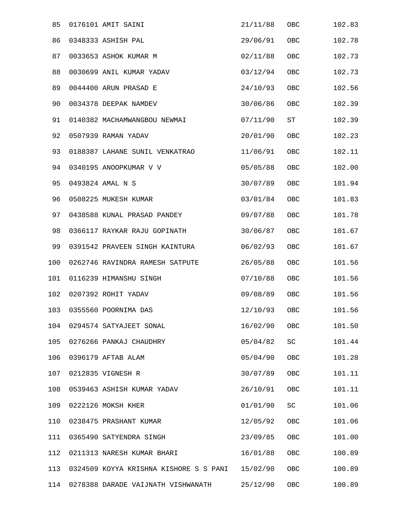| 85  | 0176101 AMIT SAINI                     | 21/11/88 | ${\sf OBC}$ | 102.83 |
|-----|----------------------------------------|----------|-------------|--------|
| 86  | 0348333 ASHISH PAL                     | 29/06/91 | OBC         | 102.78 |
| 87  | 0033653 ASHOK KUMAR M                  | 02/11/88 | OBC         | 102.73 |
| 88  | 0030699 ANIL KUMAR YADAV               | 03/12/94 | OBC         | 102.73 |
| 89  | 0044400 ARUN PRASAD E                  | 24/10/93 | OBC         | 102.56 |
| 90  | 0034378 DEEPAK NAMDEV                  | 30/06/86 | OBC         | 102.39 |
| 91  | 0140382 MACHAMWANGBOU NEWMAI           | 07/11/90 | ST          | 102.39 |
| 92  | 0507939 RAMAN YADAV                    | 20/01/90 | OBC         | 102.23 |
| 93  | 0188387 LAHANE SUNIL VENKATRAO         | 11/06/91 | OBC         | 102.11 |
| 94  | 0340195 ANOOPKUMAR V V                 | 05/05/88 | OBC         | 102.00 |
| 95  | 0493824 AMAL N S                       | 30/07/89 | OBC         | 101.94 |
| 96  | 0508225 MUKESH KUMAR                   | 03/01/84 | OBC         | 101.83 |
| 97  | 0438588 KUNAL PRASAD PANDEY            | 09/07/88 | OBC         | 101.78 |
| 98  | 0366117 RAYKAR RAJU GOPINATH           | 30/06/87 | OBC         | 101.67 |
| 99  | 0391542 PRAVEEN SINGH KAINTURA         | 06/02/93 | OBC         | 101.67 |
| 100 | 0262746 RAVINDRA RAMESH SATPUTE        | 26/05/88 | OBC         | 101.56 |
| 101 | 0116239 HIMANSHU SINGH                 | 07/10/88 | OBC         | 101.56 |
| 102 | 0207392 ROHIT YADAV                    | 09/08/89 | OBC         | 101.56 |
| 103 | 0355560 POORNIMA DAS                   | 12/10/93 | OBC         | 101.56 |
| 104 | 0294574 SATYAJEET SONAL                | 16/02/90 | OBC         | 101.50 |
| 105 | 0276266 PANKAJ CHAUDHRY                | 05/04/82 | SC          | 101.44 |
| 106 | 0396179 AFTAB ALAM                     | 05/04/90 | OBC         | 101.28 |
| 107 | 0212835 VIGNESH R                      | 30/07/89 | OBC         | 101.11 |
| 108 | 0539463 ASHISH KUMAR YADAV             | 26/10/91 | OBC         | 101.11 |
| 109 | 0222126 MOKSH KHER                     | 01/01/90 | SC          | 101.06 |
| 110 | 0238475 PRASHANT KUMAR                 | 12/05/92 | OBC         | 101.06 |
| 111 | 0365490 SATYENDRA SINGH                | 23/09/85 | OBC         | 101.00 |
| 112 | 0211313 NARESH KUMAR BHARI             | 16/01/88 | OBC         | 100.89 |
| 113 | 0324509 KOYYA KRISHNA KISHORE S S PANI | 15/02/90 | OBC         | 100.89 |
| 114 | 0278388 DARADE VAIJNATH VISHWANATH     | 25/12/90 | OBC         | 100.89 |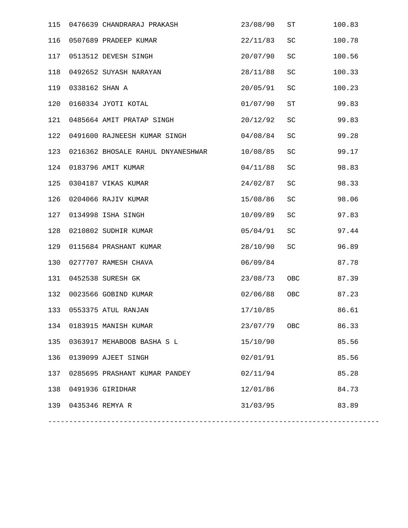| 115 |                     | 0476639 CHANDRARAJ PRAKASH        | 23/08/90 | ST         | 100.83 |
|-----|---------------------|-----------------------------------|----------|------------|--------|
| 116 |                     | 0507689 PRADEEP KUMAR             | 22/11/83 | SC         | 100.78 |
| 117 |                     | 0513512 DEVESH SINGH              | 20/07/90 | SC         | 100.56 |
| 118 |                     | 0492652 SUYASH NARAYAN            | 28/11/88 | SC         | 100.33 |
| 119 | 0338162 SHAN A      |                                   | 20/05/91 | SC         | 100.23 |
| 120 |                     | 0160334 JYOTI KOTAL               | 01/07/90 | ST         | 99.83  |
| 121 |                     | 0485664 AMIT PRATAP SINGH         | 20/12/92 | SC         | 99.83  |
| 122 |                     | 0491600 RAJNEESH KUMAR SINGH      | 04/08/84 | SC         | 99.28  |
| 123 |                     | 0216362 BHOSALE RAHUL DNYANESHWAR | 10/08/85 | SC         | 99.17  |
| 124 |                     | 0183796 AMIT KUMAR                | 04/11/88 | SC         | 98.83  |
| 125 |                     | 0304187 VIKAS KUMAR               | 24/02/87 | SC         | 98.33  |
| 126 |                     | 0204066 RAJIV KUMAR               | 15/08/86 | SC         | 98.06  |
| 127 |                     | 0134998 ISHA SINGH                | 10/09/89 | SC         | 97.83  |
| 128 |                     | 0210802 SUDHIR KUMAR              | 05/04/91 | SC         | 97.44  |
| 129 |                     | 0115684 PRASHANT KUMAR            | 28/10/90 | SC         | 96.89  |
| 130 |                     | 0277707 RAMESH CHAVA              | 06/09/84 |            | 87.78  |
| 131 |                     | 0452538 SURESH GK                 | 23/08/73 | OBC        | 87.39  |
| 132 |                     | 0023566 GOBIND KUMAR              | 02/06/88 | OBC        | 87.23  |
| 133 |                     | 0553375 ATUL RANJAN               | 17/10/85 |            | 86.61  |
|     |                     | 134 0183915 MANISH KUMAR          | 23/07/79 | <b>OBC</b> | 86.33  |
| 135 |                     | 0363917 MEHABOOB BASHA S L        | 15/10/90 |            | 85.56  |
| 136 |                     | 0139099 AJEET SINGH               | 02/01/91 |            | 85.56  |
| 137 |                     | 0285695 PRASHANT KUMAR PANDEY     | 02/11/94 |            | 85.28  |
| 138 |                     | 0491936 GIRIDHAR                  | 12/01/86 |            | 84.73  |
|     | 139 0435346 REMYA R |                                   | 31/03/95 |            | 83.89  |
|     |                     |                                   |          |            |        |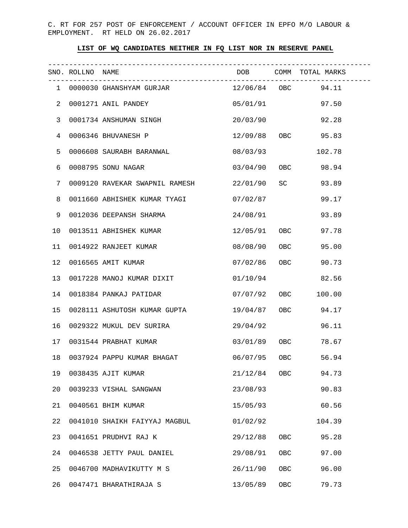C. RT FOR 257 POST OF ENFORCEMENT / ACCOUNT OFFICER IN EPFO M/O LABOUR & EMPLOYMENT. RT HELD ON 26.02.2017

## **LIST OF WQ CANDIDATES NEITHER IN FQ LIST NOR IN RESERVE PANEL**

|                | SNO. ROLLNO NAME |                                                  | DOB COMM TOTAL MARKS |     |                    |
|----------------|------------------|--------------------------------------------------|----------------------|-----|--------------------|
|                |                  | 1 0000030 GHANSHYAM GURJAR                       |                      |     | 12/06/84 OBC 94.11 |
| $\overline{2}$ |                  | 0001271 ANIL PANDEY                              |                      |     | 05/01/91 97.50     |
| 3              |                  | 0001734 ANSHUMAN SINGH                           |                      |     | 20/03/90 92.28     |
| 4              |                  | 0006346 BHUVANESH P                              |                      |     | 12/09/88 OBC 95.83 |
| 5              |                  | 0006608 SAURABH BARANWAL                         | 08/03/93             |     | 102.78             |
| 6              |                  | 0008795 SONU NAGAR                               |                      |     | 03/04/90 OBC 98.94 |
| 7              |                  | 0009120 RAVEKAR SWAPNIL RAMESH 22/01/90 SC 93.89 |                      |     |                    |
| 8              |                  | 0011660 ABHISHEK KUMAR TYAGI                     | 07/02/87             |     | 99.17              |
| 9              |                  | 0012036 DEEPANSH SHARMA                          | 24/08/91             |     | 93.89              |
| 10             |                  | 0013511 ABHISHEK KUMAR                           |                      |     | 12/05/91 OBC 97.78 |
| 11             |                  | 0014922 RANJEET KUMAR                            |                      |     | 08/08/90 OBC 95.00 |
| 12             |                  | 0016565 AMIT KUMAR                               |                      |     | 07/02/86 OBC 90.73 |
| 13             |                  | 0017228 MANOJ KUMAR DIXIT                        | 01/10/94             |     | 82.56              |
| 14             |                  | 0018384 PANKAJ PATIDAR                           | 07/07/92 OBC         |     | 100.00             |
| 15             |                  | 0028111 ASHUTOSH KUMAR GUPTA                     |                      |     | 19/04/87 OBC 94.17 |
| 16             |                  | 0029322 MUKUL DEV SURIRA                         | 29/04/92             |     | 96.11              |
| 17             |                  | 0031544 PRABHAT KUMAR                            |                      |     | 03/01/89 OBC 78.67 |
|                |                  | 18 0037924 PAPPU KUMAR BHAGAT 66/07/95 OBC 56.94 |                      |     |                    |
| 19             |                  | 0038435 AJIT KUMAR                               | $21/12/84$ OBC       |     | 94.73              |
| 20             |                  | 0039233 VISHAL SANGWAN                           | 23/08/93             |     | 90.83              |
| 21             |                  | 0040561 BHIM KUMAR                               | 15/05/93             |     | 60.56              |
| 22             |                  | 0041010 SHAIKH FAIYYAJ MAGBUL                    | 01/02/92             |     | 104.39             |
| 23             |                  | 0041651 PRUDHVI RAJ K                            | 29/12/88             | OBC | 95.28              |
| 24             |                  | 0046538 JETTY PAUL DANIEL                        | 29/08/91             | OBC | 97.00              |
| 25             |                  | 0046700 MADHAVIKUTTY M S                         | 26/11/90             | OBC | 96.00              |
| 26             |                  | 0047471 BHARATHIRAJA S                           | 13/05/89             | OBC | 79.73              |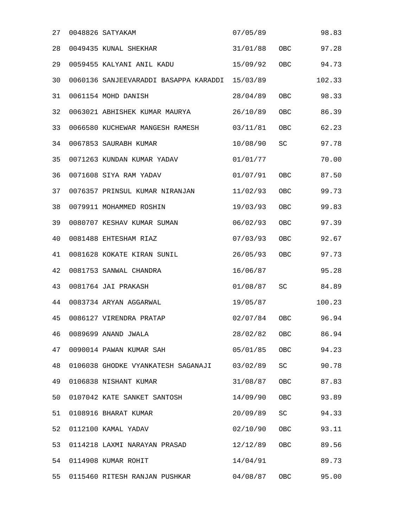| 27 | 0048826 SATYAKAM                      | 07/05/89 |     | 98.83  |
|----|---------------------------------------|----------|-----|--------|
| 28 | 0049435 KUNAL SHEKHAR                 | 31/01/88 | OBC | 97.28  |
| 29 | 0059455 KALYANI ANIL KADU             | 15/09/92 | OBC | 94.73  |
| 30 | 0060136 SANJEEVARADDI BASAPPA KARADDI | 15/03/89 |     | 102.33 |
| 31 | 0061154 MOHD DANISH                   | 28/04/89 | OBC | 98.33  |
| 32 | 0063021 ABHISHEK KUMAR MAURYA         | 26/10/89 | OBC | 86.39  |
| 33 | 0066580 KUCHEWAR MANGESH RAMESH       | 03/11/81 | OBC | 62.23  |
| 34 | 0067853 SAURABH KUMAR                 | 10/08/90 | SC  | 97.78  |
| 35 | 0071263 KUNDAN KUMAR YADAV            | 01/01/77 |     | 70.00  |
| 36 | 0071608 SIYA RAM YADAV                | 01/07/91 | OBC | 87.50  |
| 37 | 0076357 PRINSUL KUMAR NIRANJAN        | 11/02/93 | OBC | 99.73  |
| 38 | 0079911 MOHAMMED ROSHIN               | 19/03/93 | OBC | 99.83  |
| 39 | 0080707 KESHAV KUMAR SUMAN            | 06/02/93 | OBC | 97.39  |
| 40 | 0081488 EHTESHAM RIAZ                 | 07/03/93 | OBC | 92.67  |
| 41 | 0081628 KOKATE KIRAN SUNIL            | 26/05/93 | OBC | 97.73  |
| 42 | 0081753 SANWAL CHANDRA                | 16/06/87 |     | 95.28  |
| 43 | 0081764 JAI PRAKASH                   | 01/08/87 | SC  | 84.89  |
| 44 | 0083734 ARYAN AGGARWAL                | 19/05/87 |     | 100.23 |
| 45 | 0086127 VIRENDRA PRATAP               | 02/07/84 | OBC | 96.94  |
| 46 | 0089699 ANAND JWALA                   | 28/02/82 | OBC | 86.94  |
| 47 | 0090014 PAWAN KUMAR SAH               | 05/01/85 | OBC | 94.23  |
| 48 | 0106038 GHODKE VYANKATESH SAGANAJI    | 03/02/89 | SC  | 90.78  |
| 49 | 0106838 NISHANT KUMAR                 | 31/08/87 | OBC | 87.83  |
| 50 | 0107042 KATE SANKET SANTOSH           | 14/09/90 | OBC | 93.89  |
| 51 | 0108916 BHARAT KUMAR                  | 20/09/89 | SC  | 94.33  |
| 52 | 0112100 KAMAL YADAV                   | 02/10/90 | OBC | 93.11  |
| 53 | 0114218 LAXMI NARAYAN PRASAD          | 12/12/89 | OBC | 89.56  |
| 54 | 0114908 KUMAR ROHIT                   | 14/04/91 |     | 89.73  |
| 55 | 0115460 RITESH RANJAN PUSHKAR         | 04/08/87 | OBC | 95.00  |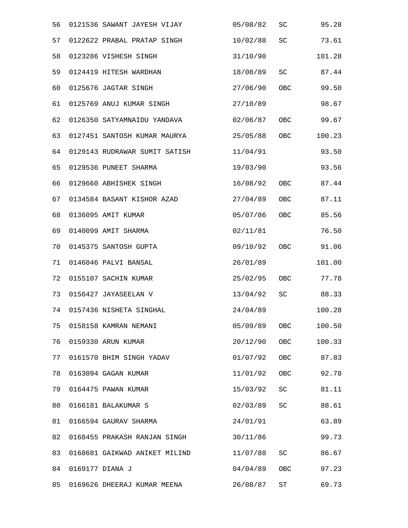| 56 | 0121536 SAWANT JAYESH VIJAY   | 05/08/82 | SC         | 95.28  |
|----|-------------------------------|----------|------------|--------|
| 57 | 0122622 PRABAL PRATAP SINGH   | 10/02/88 | SC         | 73.61  |
| 58 | 0123286 VISHESH SINGH         | 31/10/90 |            | 101.28 |
| 59 | 0124419 HITESH WARDHAN        | 18/08/89 | SC         | 87.44  |
| 60 | 0125676 JAGTAR SINGH          | 27/06/90 | OBC        | 99.50  |
| 61 | 0125769 ANUJ KUMAR SINGH      | 27/10/89 |            | 98.67  |
| 62 | 0126350 SATYAMNAIDU YANDAVA   | 02/06/87 | OBC        | 99.67  |
| 63 | 0127451 SANTOSH KUMAR MAURYA  | 25/05/88 | OBC        | 100.23 |
| 64 | 0129143 RUDRAWAR SUMIT SATISH | 11/04/91 |            | 93.50  |
| 65 | 0129536 PUNEET SHARMA         | 19/03/90 |            | 93.56  |
| 66 | 0129660 ABHISHEK SINGH        | 16/08/92 | OBC        | 87.44  |
| 67 | 0134584 BASANT KISHOR AZAD    | 27/04/89 | OBC        | 87.11  |
| 68 | 0136095 AMIT KUMAR            | 05/07/86 | OBC        | 85.56  |
| 69 | 0140099 AMIT SHARMA           | 02/11/81 |            | 76.50  |
| 70 | 0145375 SANTOSH GUPTA         | 09/10/92 | <b>OBC</b> | 91.06  |
| 71 | 0146046 PALVI BANSAL          | 26/01/89 |            | 101.00 |
| 72 | 0155107 SACHIN KUMAR          | 25/02/95 | OBC        | 77.78  |
| 73 | 0156427 JAYASEELAN V          | 13/04/92 | SC         | 88.33  |
| 74 | 0157436 NISHETA SINGHAL       | 24/04/89 |            | 100.28 |
| 75 | 0158158 KAMRAN NEMANI         | 05/09/89 | OBC        | 100.50 |
| 76 | 0159330 ARUN KUMAR            | 20/12/90 | OBC        | 100.33 |
| 77 | 0161570 BHIM SINGH YADAV      | 01/07/92 | OBC        | 87.83  |
| 78 | 0163094 GAGAN KUMAR           | 11/01/92 | <b>OBC</b> | 92.78  |
| 79 | 0164475 PAWAN KUMAR           | 15/03/92 | SC         | 81.11  |
| 80 | 0166181 BALAKUMAR S           | 02/03/89 | SC         | 88.61  |
| 81 | 0166594 GAURAV SHARMA         | 24/01/91 |            | 63.89  |
| 82 | 0168455 PRAKASH RANJAN SINGH  | 30/11/86 |            | 99.73  |
| 83 | 0168681 GAIKWAD ANIKET MILIND | 11/07/88 | SC         | 86.67  |
| 84 | 0169177 DIANA J               | 04/04/89 | OBC        | 97.23  |
| 85 | 0169626 DHEERAJ KUMAR MEENA   | 26/08/87 | ST         | 69.73  |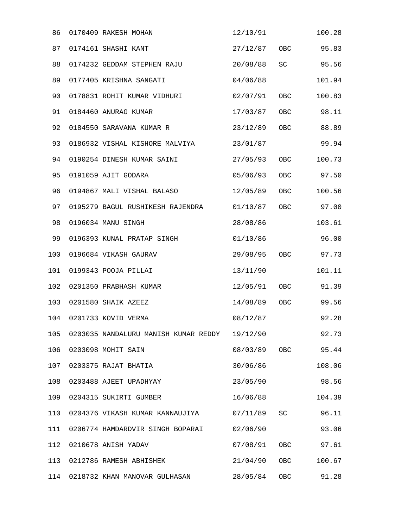| 86  | 0170409 RAKESH MOHAN                 | 12/10/91     |     | 100.28    |
|-----|--------------------------------------|--------------|-----|-----------|
| 87  | 0174161 SHASHI KANT                  | 27/12/87     | OBC | 95.83     |
| 88  | 0174232 GEDDAM STEPHEN RAJU          | 20/08/88     | SC  | 95.56     |
| 89  | 0177405 KRISHNA SANGATI              | 04/06/88     |     | 101.94    |
| 90  | 0178831 ROHIT KUMAR VIDHURI          | 02/07/91     | OBC | 100.83    |
| 91  | 0184460 ANURAG KUMAR                 | 17/03/87     | OBC | 98.11     |
| 92  | 0184550 SARAVANA KUMAR R             | 23/12/89     | OBC | 88.89     |
| 93  | 0186932 VISHAL KISHORE MALVIYA       | 23/01/87     |     | 99.94     |
| 94  | 0190254 DINESH KUMAR SAINI           | 27/05/93     | OBC | 100.73    |
| 95  | 0191059 AJIT GODARA                  | 05/06/93     | OBC | 97.50     |
| 96  | 0194867 MALI VISHAL BALASO           | 12/05/89     | OBC | 100.56    |
| 97  | 0195279 BAGUL RUSHIKESH RAJENDRA     | 01/10/87     | OBC | 97.00     |
| 98  | 0196034 MANU SINGH                   | 28/08/86     |     | 103.61    |
| 99  | 0196393 KUNAL PRATAP SINGH           | 01/10/86     |     | 96.00     |
| 100 | 0196684 VIKASH GAURAV                | 29/08/95     | OBC | 97.73     |
| 101 | 0199343 POOJA PILLAI                 | 13/11/90     |     | 101.11    |
| 102 | 0201350 PRABHASH KUMAR               | 12/05/91     | OBC | 91.39     |
| 103 | 0201580 SHAIK AZEEZ                  | 14/08/89     | OBC | 99.56     |
| 104 | 0201733 KOVID VERMA                  | 08/12/87     |     | 92.28     |
| 105 | 0203035 NANDALURU MANISH KUMAR REDDY | 19/12/90     |     | 92.73     |
| 106 | 0203098 MOHIT SAIN                   | 08/03/89 OBC |     | 95.44     |
| 107 | 0203375 RAJAT BHATIA                 | 30/06/86     |     | 108.06    |
| 108 | 0203488 AJEET UPADHYAY               | 23/05/90     |     | 98.56     |
| 109 | 0204315 SUKIRTI GUMBER               | 16/06/88     |     | 104.39    |
| 110 | 0204376 VIKASH KUMAR KANNAUJIYA      | 07/11/89     | SC  | 96.11     |
| 111 | 0206774 HAMDARDVIR SINGH BOPARAI     | 02/06/90     |     | 93.06     |
| 112 | 0210678 ANISH YADAV                  | 07/08/91     |     | OBC 97.61 |
| 113 | 0212786 RAMESH ABHISHEK              | 21/04/90     | OBC | 100.67    |
| 114 | 0218732 KHAN MANOVAR GULHASAN        | 28/05/84     | OBC | 91.28     |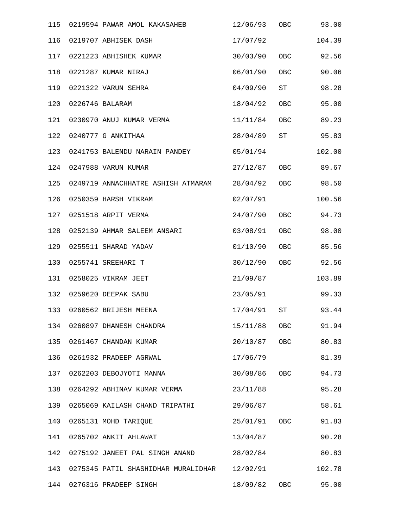| 115 | 0219594 PAWAR AMOL KAKASAHEB                 | 12/06/93     | OBC        | 93.00  |
|-----|----------------------------------------------|--------------|------------|--------|
| 116 | 0219707 ABHISEK DASH                         | 17/07/92     |            | 104.39 |
| 117 | 0221223 ABHISHEK KUMAR                       | 30/03/90     | <b>OBC</b> | 92.56  |
| 118 | 0221287 KUMAR NIRAJ                          | 06/01/90     | <b>OBC</b> | 90.06  |
| 119 | 0221322 VARUN SEHRA                          | 04/09/90     | <b>ST</b>  | 98.28  |
| 120 | 0226746 BALARAM                              | 18/04/92     | OBC        | 95.00  |
| 121 | 0230970 ANUJ KUMAR VERMA                     | 11/11/84     | <b>OBC</b> | 89.23  |
| 122 | 0240777 G ANKITHAA                           | 28/04/89     | <b>ST</b>  | 95.83  |
| 123 | 0241753 BALENDU NARAIN PANDEY                | 05/01/94     |            | 102.00 |
| 124 | 0247988 VARUN KUMAR                          | 27/12/87     | OBC        | 89.67  |
| 125 | 0249719 ANNACHHATRE ASHISH ATMARAM 28/04/92  |              | <b>OBC</b> | 98.50  |
| 126 | 0250359 HARSH VIKRAM                         | 02/07/91     |            | 100.56 |
| 127 | 0251518 ARPIT VERMA                          | 24/07/90     | OBC        | 94.73  |
| 128 | 0252139 AHMAR SALEEM ANSARI                  | 03/08/91     | OBC        | 98.00  |
| 129 | 0255511 SHARAD YADAV                         | 01/10/90     | OBC        | 85.56  |
| 130 | 0255741 SREEHARI T                           | 30/12/90     | OBC        | 92.56  |
| 131 | 0258025 VIKRAM JEET                          | 21/09/87     |            | 103.89 |
| 132 | 0259620 DEEPAK SABU                          | 23/05/91     |            | 99.33  |
| 133 | 0260562 BRIJESH MEENA                        | 17/04/91     | ST         | 93.44  |
|     | 134 0260897 DHANESH CHANDRA                  | 15/11/88 OBC |            | 91.94  |
| 135 | 0261467 CHANDAN KUMAR                        | 20/10/87 OBC |            | 80.83  |
| 136 | 0261932 PRADEEP AGRWAL                       | 17/06/79     |            | 81.39  |
| 137 | 0262203 DEBOJYOTI MANNA                      | 30/08/86 OBC |            | 94.73  |
| 138 | 0264292 ABHINAV KUMAR VERMA                  | 23/11/88     |            | 95.28  |
| 139 | 0265069 KAILASH CHAND TRIPATHI               | 29/06/87     |            | 58.61  |
| 140 | 0265131 MOHD TARIQUE                         | 25/01/91 OBC |            | 91.83  |
| 141 | 0265702 ANKIT AHLAWAT                        | 13/04/87     |            | 90.28  |
| 142 | 0275192 JANEET PAL SINGH ANAND               | 28/02/84     |            | 80.83  |
| 143 | 0275345 PATIL SHASHIDHAR MURALIDHAR 12/02/91 |              |            | 102.78 |
| 144 | 0276316 PRADEEP SINGH                        | 18/09/82     | OBC        | 95.00  |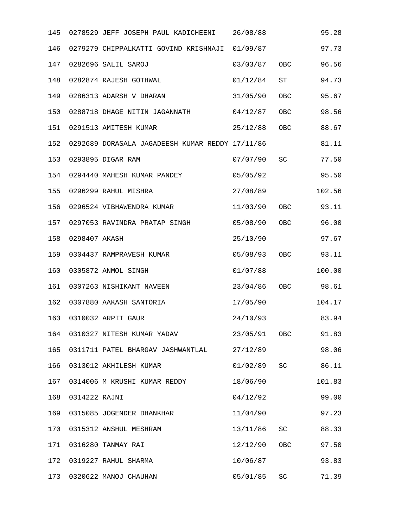| 145 |               | 0278529 JEFF JOSEPH PAUL KADICHEENI 26/08/88    |          |            | 95.28  |
|-----|---------------|-------------------------------------------------|----------|------------|--------|
| 146 |               | 0279279 CHIPPALKATTI GOVIND KRISHNAJI 01/09/87  |          |            | 97.73  |
| 147 |               | 0282696 SALIL SAROJ                             | 03/03/87 | <b>OBC</b> | 96.56  |
| 148 |               | 0282874 RAJESH GOTHWAL                          | 01/12/84 | ST         | 94.73  |
| 149 |               | 0286313 ADARSH V DHARAN                         | 31/05/90 | OBC        | 95.67  |
| 150 |               | 0288718 DHAGE NITIN JAGANNATH                   | 04/12/87 | OBC        | 98.56  |
| 151 |               | 0291513 AMITESH KUMAR                           | 25/12/88 | OBC        | 88.67  |
| 152 |               | 0292689 DORASALA JAGADEESH KUMAR REDDY 17/11/86 |          |            | 81.11  |
| 153 |               | 0293895 DIGAR RAM                               | 07/07/90 | SC         | 77.50  |
| 154 |               | 0294440 MAHESH KUMAR PANDEY                     | 05/05/92 |            | 95.50  |
| 155 |               | 0296299 RAHUL MISHRA                            | 27/08/89 |            | 102.56 |
| 156 |               | 0296524 VIBHAWENDRA KUMAR                       | 11/03/90 | OBC        | 93.11  |
| 157 |               | 0297053 RAVINDRA PRATAP SINGH                   | 05/08/90 | OBC        | 96.00  |
| 158 | 0298407 AKASH |                                                 | 25/10/90 |            | 97.67  |
| 159 |               | 0304437 RAMPRAVESH KUMAR                        | 05/08/93 | OBC        | 93.11  |
| 160 |               | 0305872 ANMOL SINGH                             | 01/07/88 |            | 100.00 |
| 161 |               | 0307263 NISHIKANT NAVEEN                        | 23/04/86 | OBC        | 98.61  |
| 162 |               | 0307880 AAKASH SANTORIA                         | 17/05/90 |            | 104.17 |
| 163 |               | 0310032 ARPIT GAUR                              | 24/10/93 |            | 83.94  |
| 164 |               | 0310327 NITESH KUMAR YADAV                      | 23/05/91 | OBC        | 91.83  |
| 165 |               | 0311711 PATEL BHARGAV JASHWANTLAL               | 27/12/89 |            | 98.06  |
| 166 |               | 0313012 AKHILESH KUMAR                          | 01/02/89 | SC         | 86.11  |
| 167 |               | 0314006 M KRUSHI KUMAR REDDY                    | 18/06/90 |            | 101.83 |
| 168 | 0314222 RAJNI |                                                 | 04/12/92 |            | 99.00  |
| 169 |               | 0315085 JOGENDER DHANKHAR                       | 11/04/90 |            | 97.23  |
| 170 |               | 0315312 ANSHUL MESHRAM                          | 13/11/86 | SC         | 88.33  |
| 171 |               | 0316280 TANMAY RAI                              | 12/12/90 | OBC        | 97.50  |
| 172 |               | 0319227 RAHUL SHARMA                            | 10/06/87 |            | 93.83  |
| 173 |               | 0320622 MANOJ CHAUHAN                           | 05/01/85 | SC         | 71.39  |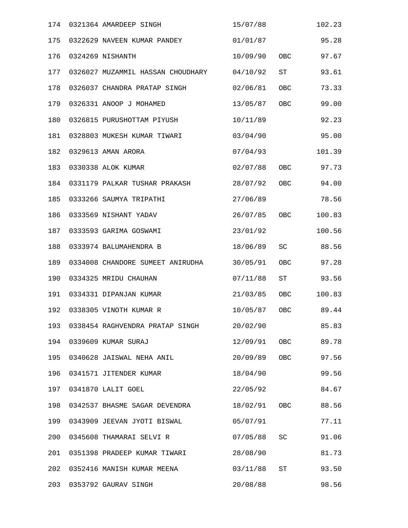| 174 | 0321364 AMARDEEP SINGH            | 15/07/88     |            | 102.23 |
|-----|-----------------------------------|--------------|------------|--------|
| 175 | 0322629 NAVEEN KUMAR PANDEY       | 01/01/87     |            | 95.28  |
| 176 | 0324269 NISHANTH                  | 10/09/90     | OBC        | 97.67  |
| 177 | 0326027 MUZAMMIL HASSAN CHOUDHARY | 04/10/92     | ST         | 93.61  |
| 178 | 0326037 CHANDRA PRATAP SINGH      | 02/06/81     | OBC        | 73.33  |
| 179 | 0326331 ANOOP J MOHAMED           | 13/05/87     | <b>OBC</b> | 99.00  |
| 180 | 0326815 PURUSHOTTAM PIYUSH        | 10/11/89     |            | 92.23  |
| 181 | 0328803 MUKESH KUMAR TIWARI       | 03/04/90     |            | 95.00  |
| 182 | 0329613 AMAN ARORA                | 07/04/93     |            | 101.39 |
| 183 | 0330338 ALOK KUMAR                | 02/07/88     | OBC        | 97.73  |
| 184 | 0331179 PALKAR TUSHAR PRAKASH     | 28/07/92     | OBC        | 94.00  |
| 185 | 0333266 SAUMYA TRIPATHI           | 27/06/89     |            | 78.56  |
| 186 | 0333569 NISHANT YADAV             | 26/07/85     | OBC        | 100.83 |
| 187 | 0333593 GARIMA GOSWAMI            | 23/01/92     |            | 100.56 |
| 188 | 0333974 BALUMAHENDRA B            | 18/06/89     | SC         | 88.56  |
| 189 | 0334008 CHANDORE SUMEET ANIRUDHA  | 30/05/91     | OBC        | 97.28  |
| 190 | 0334325 MRIDU CHAUHAN             | 07/11/88     | ST         | 93.56  |
| 191 | 0334331 DIPANJAN KUMAR            | 21/03/85     | OBC        | 100.83 |
| 192 | 0338305 VINOTH KUMAR R            | 10/05/87     | OBC        | 89.44  |
| 193 | 0338454 RAGHVENDRA PRATAP SINGH   | 20/02/90     |            | 85.83  |
| 194 | 0339609 KUMAR SURAJ               | 12/09/91 OBC |            | 89.78  |
| 195 | 0340628 JAISWAL NEHA ANIL         | 20/09/89 OBC |            | 97.56  |
| 196 | 0341571 JITENDER KUMAR            | 18/04/90     |            | 99.56  |
| 197 | 0341870 LALIT GOEL                | 22/05/92     |            | 84.67  |
| 198 | 0342537 BHASME SAGAR DEVENDRA     | 18/02/91 OBC |            | 88.56  |
| 199 | 0343909 JEEVAN JYOTI BISWAL       | 05/07/91     |            | 77.11  |
| 200 | 0345608 THAMARAI SELVI R          | 07/05/88     | SC         | 91.06  |
| 201 | 0351398 PRADEEP KUMAR TIWARI      | 28/08/90     |            | 81.73  |
| 202 | 0352416 MANISH KUMAR MEENA        | 03/11/88     | <b>ST</b>  | 93.50  |
| 203 | 0353792 GAURAV SINGH              | 20/08/88     |            | 98.56  |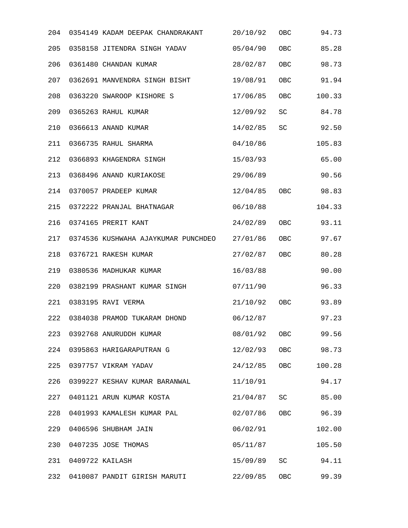| 204 | 0354149 KADAM DEEPAK CHANDRAKANT    | 20/10/92 | OBC | 94.73  |
|-----|-------------------------------------|----------|-----|--------|
| 205 | 0358158 JITENDRA SINGH YADAV        | 05/04/90 | OBC | 85.28  |
| 206 | 0361480 CHANDAN KUMAR               | 28/02/87 | OBC | 98.73  |
| 207 | 0362691 MANVENDRA SINGH BISHT       | 19/08/91 | OBC | 91.94  |
| 208 | 0363220 SWAROOP KISHORE S           | 17/06/85 | OBC | 100.33 |
| 209 | 0365263 RAHUL KUMAR                 | 12/09/92 | SC  | 84.78  |
| 210 | 0366613 ANAND KUMAR                 | 14/02/85 | SC  | 92.50  |
| 211 | 0366735 RAHUL SHARMA                | 04/10/86 |     | 105.83 |
| 212 | 0366893 KHAGENDRA SINGH             | 15/03/93 |     | 65.00  |
| 213 | 0368496 ANAND KURIAKOSE             | 29/06/89 |     | 90.56  |
| 214 | 0370057 PRADEEP KUMAR               | 12/04/85 | OBC | 98.83  |
| 215 | 0372222 PRANJAL BHATNAGAR           | 06/10/88 |     | 104.33 |
| 216 | 0374165 PRERIT KANT                 | 24/02/89 | OBC | 93.11  |
| 217 | 0374536 KUSHWAHA AJAYKUMAR PUNCHDEO | 27/01/86 | OBC | 97.67  |
| 218 | 0376721 RAKESH KUMAR                | 27/02/87 | OBC | 80.28  |
| 219 | 0380536 MADHUKAR KUMAR              | 16/03/88 |     | 90.00  |
| 220 | 0382199 PRASHANT KUMAR SINGH        | 07/11/90 |     | 96.33  |
| 221 | 0383195 RAVI VERMA                  | 21/10/92 | OBC | 93.89  |
| 222 | 0384038 PRAMOD TUKARAM DHOND        | 06/12/87 |     | 97.23  |
| 223 | 0392768 ANURUDDH KUMAR              | 08/01/92 | OBC | 99.56  |
| 224 | 0395863 HARIGARAPUTRAN G            | 12/02/93 | OBC | 98.73  |
| 225 | 0397757 VIKRAM YADAV                | 24/12/85 | OBC | 100.28 |
| 226 | 0399227 KESHAV KUMAR BARANWAL       | 11/10/91 |     | 94.17  |
| 227 | 0401121 ARUN KUMAR KOSTA            | 21/04/87 | SC  | 85.00  |
| 228 | 0401993 KAMALESH KUMAR PAL          | 02/07/86 | OBC | 96.39  |
| 229 | 0406596 SHUBHAM JAIN                | 06/02/91 |     | 102.00 |
| 230 | 0407235 JOSE THOMAS                 | 05/11/87 |     | 105.50 |
| 231 | 0409722 KAILASH                     | 15/09/89 | SC  | 94.11  |
| 232 | 0410087 PANDIT GIRISH MARUTI        | 22/09/85 | OBC | 99.39  |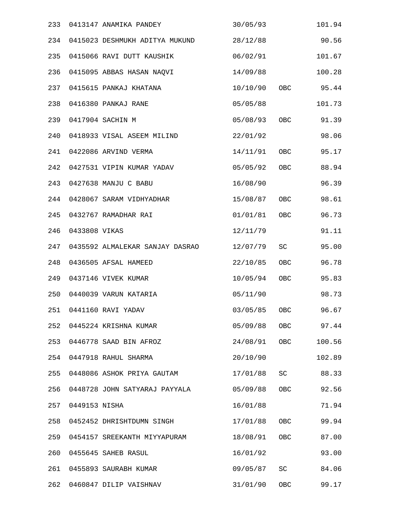| 233 |               | 0413147 ANAMIKA PANDEY          | 30/05/93           |            | 101.94 |
|-----|---------------|---------------------------------|--------------------|------------|--------|
| 234 |               | 0415023 DESHMUKH ADITYA MUKUND  | 28/12/88           |            | 90.56  |
| 235 |               | 0415066 RAVI DUTT KAUSHIK       | 06/02/91           |            | 101.67 |
| 236 |               | 0415095 ABBAS HASAN NAQVI       | 14/09/88           |            | 100.28 |
| 237 |               | 0415615 PANKAJ KHATANA          | 10/10/90 OBC 95.44 |            |        |
| 238 |               | 0416380 PANKAJ RANE             | 05/05/88           |            | 101.73 |
| 239 |               | 0417904 SACHIN M                | 05/08/93           | <b>OBC</b> | 91.39  |
| 240 |               | 0418933 VISAL ASEEM MILIND      | 22/01/92           |            | 98.06  |
| 241 |               | 0422086 ARVIND VERMA            | 14/11/91 OBC       |            | 95.17  |
| 242 |               | 0427531 VIPIN KUMAR YADAV       | 05/05/92           | <b>OBC</b> | 88.94  |
| 243 |               | 0427638 MANJU C BABU            | 16/08/90           |            | 96.39  |
| 244 |               | 0428067 SARAM VIDHYADHAR        | 15/08/87           | OBC        | 98.61  |
| 245 |               | 0432767 RAMADHAR RAI            | 01/01/81           | OBC        | 96.73  |
| 246 | 0433808 VIKAS |                                 | 12/11/79           |            | 91.11  |
| 247 |               | 0435592 ALMALEKAR SANJAY DASRAO | 12/07/79           | SC         | 95.00  |
| 248 |               | 0436505 AFSAL HAMEED            | 22/10/85           | OBC        | 96.78  |
| 249 |               | 0437146 VIVEK KUMAR             | 10/05/94           | OBC        | 95.83  |
| 250 |               | 0440039 VARUN KATARIA           | 05/11/90           |            | 98.73  |
| 251 |               | 0441160 RAVI YADAV              | 03/05/85           | <b>OBC</b> | 96.67  |
| 252 |               | 0445224 KRISHNA KUMAR           | 05/09/88           | OBC        | 97.44  |
| 253 |               | 0446778 SAAD BIN AFROZ          | 24/08/91 OBC       |            | 100.56 |
| 254 |               | 0447918 RAHUL SHARMA            | 20/10/90           |            | 102.89 |
| 255 |               | 0448086 ASHOK PRIYA GAUTAM      | 17/01/88           | SC         | 88.33  |
| 256 |               | 0448728 JOHN SATYARAJ PAYYALA   | 05/09/88           | OBC        | 92.56  |
| 257 | 0449153 NISHA |                                 | 16/01/88           |            | 71.94  |
| 258 |               | 0452452 DHRISHTDUMN SINGH       | 17/01/88           | OBC        | 99.94  |
| 259 |               | 0454157 SREEKANTH MIYYAPURAM    | 18/08/91           | <b>OBC</b> | 87.00  |
| 260 |               | 0455645 SAHEB RASUL             | 16/01/92           |            | 93.00  |
| 261 |               | 0455893 SAURABH KUMAR           | 09/05/87           | SC         | 84.06  |
| 262 |               | 0460847 DILIP VAISHNAV          | 31/01/90           | OBC        | 99.17  |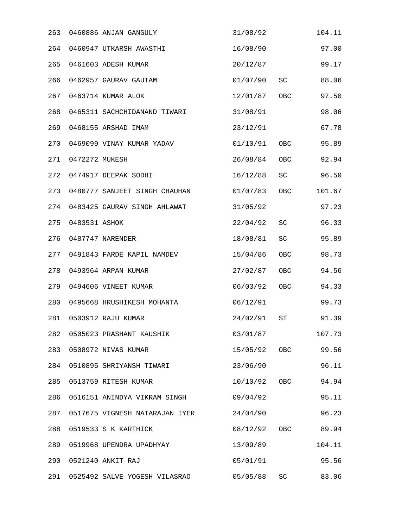| 263 |                | 0460886 ANJAN GANGULY          | 31/08/92     |            | 104.11 |
|-----|----------------|--------------------------------|--------------|------------|--------|
| 264 |                | 0460947 UTKARSH AWASTHI        | 16/08/90     |            | 97.00  |
| 265 |                | 0461603 ADESH KUMAR            | 20/12/87     |            | 99.17  |
| 266 |                | 0462957 GAURAV GAUTAM          | 01/07/90     | SC         | 88.06  |
| 267 |                | 0463714 KUMAR ALOK             | 12/01/87 OBC |            | 97.50  |
| 268 |                | 0465311 SACHCHIDANAND TIWARI   | 31/08/91     |            | 98.06  |
| 269 |                | 0468155 ARSHAD IMAM            | 23/12/91     |            | 67.78  |
| 270 |                | 0469099 VINAY KUMAR YADAV      | 01/10/91     | OBC        | 95.89  |
| 271 | 0472272 MUKESH |                                | 26/08/84     | OBC        | 92.94  |
| 272 |                | 0474917 DEEPAK SODHI           | 16/12/88     | SC         | 96.50  |
| 273 |                | 0480777 SANJEET SINGH CHAUHAN  | 01/07/83     | <b>OBC</b> | 101.67 |
| 274 |                | 0483425 GAURAV SINGH AHLAWAT   | 31/05/92     |            | 97.23  |
| 275 | 0483531 ASHOK  |                                | 22/04/92     | SC         | 96.33  |
| 276 |                | 0487747 NARENDER               | 18/08/81     | SC         | 95.89  |
| 277 |                | 0491843 FARDE KAPIL NAMDEV     | 15/04/86     | OBC        | 98.73  |
| 278 |                | 0493964 ARPAN KUMAR            | 27/02/87     | OBC        | 94.56  |
| 279 |                | 0494606 VINEET KUMAR           | 06/03/92     | OBC        | 94.33  |
| 280 |                | 0495668 HRUSHIKESH MOHANTA     | 06/12/91     |            | 99.73  |
| 281 |                | 0503912 RAJU KUMAR             | 24/02/91     | ST         | 91.39  |
| 282 |                | 0505023 PRASHANT KAUSHIK       | 03/01/87     |            | 107.73 |
| 283 |                | 0508972 NIVAS KUMAR            | 15/05/92 OBC |            | 99.56  |
| 284 |                | 0510895 SHRIYANSH TIWARI       | 23/06/90     |            | 96.11  |
| 285 |                | 0513759 RITESH KUMAR           | 10/10/92     | OBC        | 94.94  |
| 286 |                | 0516151 ANINDYA VIKRAM SINGH   | 09/04/92     |            | 95.11  |
| 287 |                | 0517675 VIGNESH NATARAJAN IYER | 24/04/90     |            | 96.23  |
| 288 |                | 0519533 S K KARTHICK           | 08/12/92 OBC |            | 89.94  |
| 289 |                | 0519968 UPENDRA UPADHYAY       | 13/09/89     |            | 104.11 |
| 290 |                | 0521240 ANKIT RAJ              | 05/01/91     |            | 95.56  |
| 291 |                | 0525492 SALVE YOGESH VILASRAO  | 05/05/88     | SC         | 83.06  |